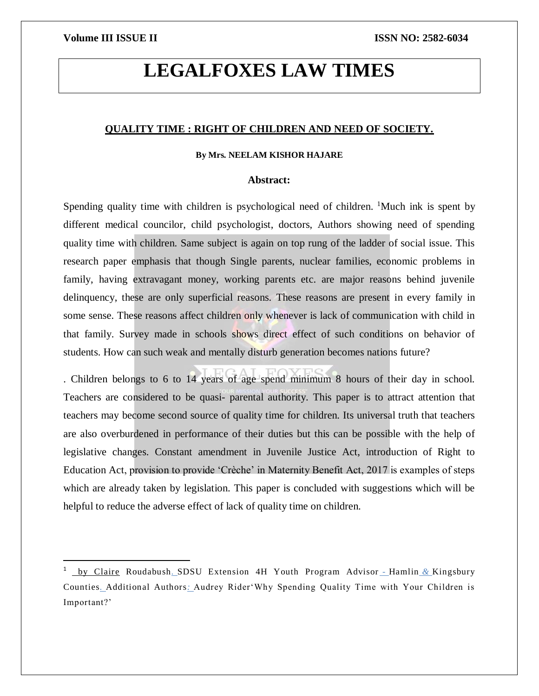$\overline{\phantom{a}}$ 

# **LEGALFOXES LAW TIMES**

#### **QUALITY TIME : RIGHT OF CHILDREN AND NEED OF SOCIETY.**

### **By Mrs. NEELAM KISHOR HAJARE**

#### **Abstract:**

Spending quality time with children is psychological need of children.  $\frac{1}{1}$ Much ink is spent by different medical councilor, child psychologist, doctors, Authors showing need of spending quality time with children. Same subject is again on top rung of the ladder of social issue. This research paper emphasis that though Single parents, nuclear families, economic problems in family, having extravagant money, working parents etc. are major reasons behind juvenile delinquency, these are only superficial reasons. These reasons are present in every family in some sense. These reasons affect children only whenever is lack of communication with child in that family. Survey made in schools shows direct effect of such conditions on behavior of students. How can such weak and mentally disturb generation becomes nations future?

. Children belongs to 6 to 14 years of age spend minimum 8 hours of their day in school. Teachers are considered to be quasi- parental authority. This paper is to attract attention that teachers may become second source of quality time for children. Its universal truth that teachers are also overburdened in performance of their duties but this can be possible with the help of legislative changes. Constant amendment in Juvenile Justice Act, introduction of Right to Education Act, provision to provide 'Crèche' in Maternity Benefit Act, 2017 is examples of steps which are already taken by legislation. This paper is concluded with suggestions which will be helpful to reduce the adverse effect of lack of quality time on children.

<sup>1</sup> by Claire Roudabush*.* [SDSU Extension 4H Youth Program Advisor](file:///C:/Users/Dell/Desktop/journal/9.%20Why%20Spending%20Quality%20Time%20With%20Your%20Children%20is%20Important%0dhttps:/extension.sdstate.edu ›%20why-spending-quality-ti...%0d) *-* Hamlin *&* Kingsbury Counties*.* Additional Authors*:* [Audrey Rider'Why Spending Quality Time with Your Children is](file:///C:/Users/Dell/Desktop/journal/9.%20Why%20Spending%20Quality%20Time%20With%20Your%20Children%20is%20Important%0dhttps:/extension.sdstate.edu ›%20why-spending-quality-ti...%0d)  [Important?'](file:///C:/Users/Dell/Desktop/journal/9.%20Why%20Spending%20Quality%20Time%20With%20Your%20Children%20is%20Important%0dhttps:/extension.sdstate.edu ›%20why-spending-quality-ti...%0d)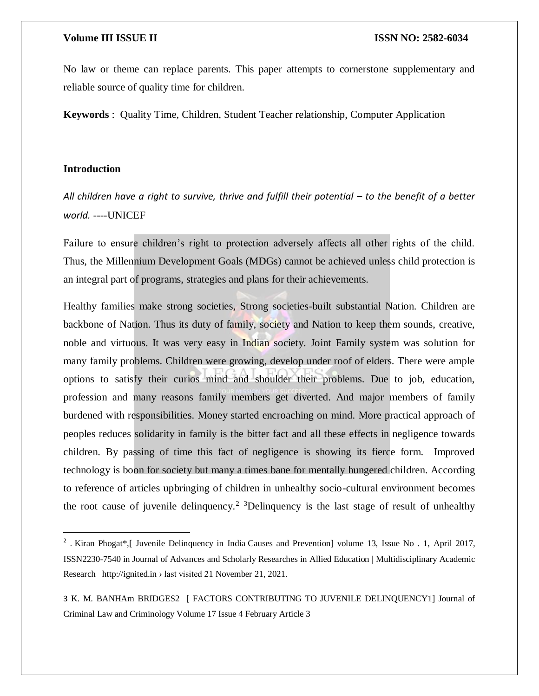No law or theme can replace parents. This paper attempts to cornerstone supplementary and reliable source of quality time for children.

**Keywords** : Quality Time, Children, Student Teacher relationship, Computer Application

### **Introduction**

 $\overline{a}$ 

All children have a right to survive, thrive and fulfill their potential – to the benefit of a better *world.* ----UNICEF

Failure to ensure children's right to protection adversely affects all other rights of the child. Thus, the Millennium Development Goals (MDGs) cannot be achieved unless child protection is an integral part of programs, strategies and plans for their achievements.

Healthy families make strong societies, Strong societies-built substantial Nation. Children are backbone of Nation. Thus its duty of family, society and Nation to keep them sounds, creative, noble and virtuous. It was very easy in Indian society. Joint Family system was solution for many family problems. Children were growing, develop under roof of elders. There were ample options to satisfy their curios mind and shoulder their problems. Due to job, education, profession and many reasons family members get diverted. And major members of family burdened with responsibilities. Money started encroaching on mind. More practical approach of peoples reduces solidarity in family is the bitter fact and all these effects in negligence towards children. By passing of time this fact of negligence is showing its fierce form. Improved technology is boon for society but many a times bane for mentally hungered children. According to reference of articles upbringing of children in unhealthy socio-cultural environment becomes the root cause of juvenile delinquency.<sup>2</sup> 3Delinquency is the last stage of result of unhealthy

<sup>&</sup>lt;sup>2</sup>. Kiran Phogat\*,[ Juvenile Delinquency in India Causes and Prevention] volume 13, Issue No. 1, April 2017, ISSN2230-7540 in Journal of Advances and Scholarly Researches in Allied Education | Multidisciplinary Academic Research http://ignited.in › last visited 21 November 21, 2021.

<sup>3</sup> K. M. BANHAm BRIDGES2 [ FACTORS CONTRIBUTING TO JUVENILE DELINQUENCY1] Journal of Criminal Law and Criminology Volume 17 Issue 4 February Article 3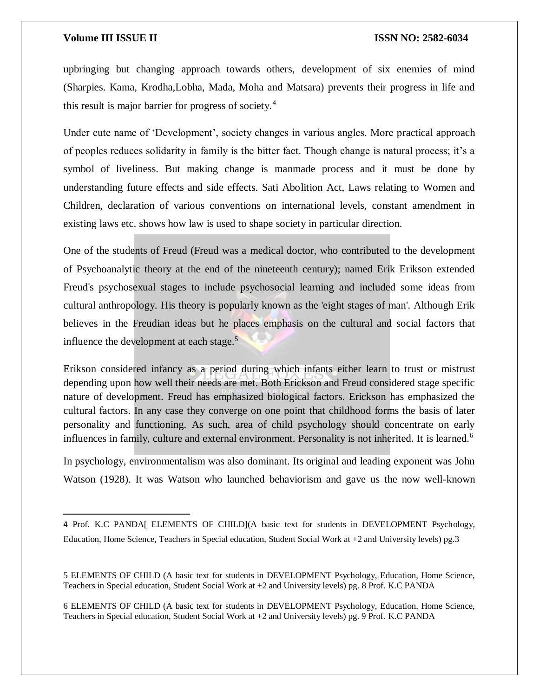$\overline{\phantom{a}}$ 

upbringing but changing approach towards others, development of six enemies of mind (Sharpies. Kama, Krodha,Lobha, Mada, Moha and Matsara) prevents their progress in life and this result is major barrier for progress of society.<sup>4</sup>

Under cute name of 'Development', society changes in various angles. More practical approach of peoples reduces solidarity in family is the bitter fact. Though change is natural process; it's a symbol of liveliness. But making change is manmade process and it must be done by understanding future effects and side effects. Sati Abolition Act, Laws relating to Women and Children, declaration of various conventions on international levels, constant amendment in existing laws etc. shows how law is used to shape society in particular direction.

One of the students of Freud (Freud was a medical doctor, who contributed to the development of Psychoanalytic theory at the end of the nineteenth century); named Erik Erikson extended Freud's psychosexual stages to include psychosocial learning and included some ideas from cultural anthropology. His theory is popularly known as the 'eight stages of man'. Although Erik believes in the Freudian ideas but he places emphasis on the cultural and social factors that influence the development at each stage. $5$ 

Erikson considered infancy as a period during which infants either learn to trust or mistrust depending upon how well their needs are met. Both Erickson and Freud considered stage specific nature of development. Freud has emphasized biological factors. Erickson has emphasized the cultural factors. In any case they converge on one point that childhood forms the basis of later personality and functioning. As such, area of child psychology should concentrate on early influences in family, culture and external environment. Personality is not inherited. It is learned.<sup>6</sup>

In psychology, environmentalism was also dominant. Its original and leading exponent was John Watson (1928). It was Watson who launched behaviorism and gave us the now well-known

6 ELEMENTS OF CHILD (A basic text for students in DEVELOPMENT Psychology, Education, Home Science, Teachers in Special education, Student Social Work at +2 and University levels) pg. 9 Prof. K.C PANDA

<sup>4</sup> Prof. K.C PANDA[ ELEMENTS OF CHILD](A basic text for students in DEVELOPMENT Psychology, Education, Home Science, Teachers in Special education, Student Social Work at +2 and University levels) pg.3

<sup>5</sup> ELEMENTS OF CHILD (A basic text for students in DEVELOPMENT Psychology, Education, Home Science, Teachers in Special education, Student Social Work at +2 and University levels) pg. 8 Prof. K.C PANDA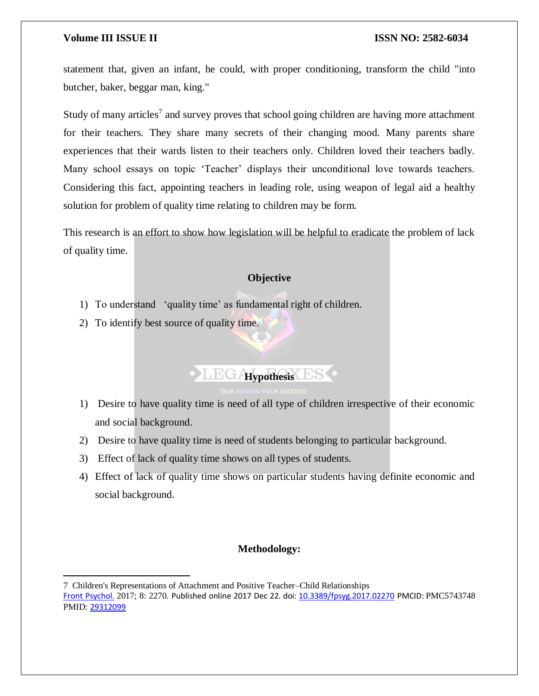$\overline{a}$ 

statement that, given an infant, he could, with proper conditioning, transform the child "into butcher, baker, beggar man, king."

Study of many articles<sup>7</sup> and survey proves that school going children are having more attachment for their teachers. They share many secrets of their changing mood. Many parents share experiences that their wards listen to their teachers only. Children loved their teachers badly. Many school essays on topic 'Teacher' displays their unconditional love towards teachers. Considering this fact, appointing teachers in leading role, using weapon of legal aid a healthy solution for problem of quality time relating to children may be form.

This research is an effort to show how legislation will be helpful to eradicate the problem of lack of quality time.

### **Objective**

- 1) To understand 'quality time' as fundamental right of children.
- 2) To identify best source of quality time.

# **HEGAypothesis** ES

- 1) Desire to have quality time is need of all type of children irrespective of their economic and social background.
- 2) Desire to have quality time is need of students belonging to particular background.
- 3) Effect of lack of quality time shows on all types of students.
- 4) Effect of lack of quality time shows on particular students having definite economic and social background.

### **Methodology:**

<sup>7</sup> Children's Representations of Attachment and Positive Teacher–Child Relationships [Front Psychol.](https://www.ncbi.nlm.nih.gov/pmc/articles/PMC5743748/) 2017; 8: 2270. Published online 2017 Dec 22. doi: [10.3389/fpsyg.2017.02270](https://dx.doi.org/10.3389%2Ffpsyg.2017.02270) PMCID: PMC5743748 PMID: [29312099](https://www.ncbi.nlm.nih.gov/pubmed/29312099)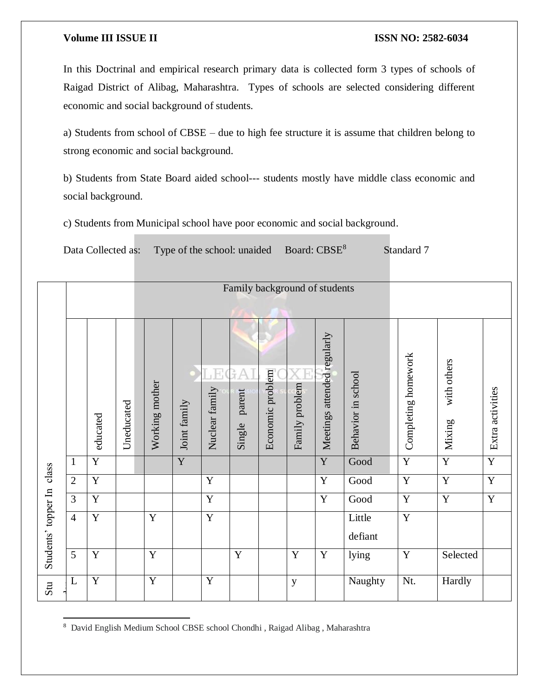In this Doctrinal and empirical research primary data is collected form 3 types of schools of Raigad District of Alibag, Maharashtra. Types of schools are selected considering different economic and social background of students.

a) Students from school of CBSE – due to high fee structure it is assume that children belong to strong economic and social background.

b) Students from State Board aided school--- students mostly have middle class economic and social background.

c) Students from Municipal school have poor economic and social background.

Data Collected as: Type of the school: unaided Board: CBSE<sup>8</sup> Standard 7

|                     |                |                |            | Family background of students |                |                                           |                              |                  |                |                             |                    |                     |                       |                  |
|---------------------|----------------|----------------|------------|-------------------------------|----------------|-------------------------------------------|------------------------------|------------------|----------------|-----------------------------|--------------------|---------------------|-----------------------|------------------|
|                     |                |                |            |                               |                |                                           |                              |                  |                |                             |                    |                     |                       |                  |
| class               |                | educated       | Uneducated | Working mother                | Joint family   | $\mathsf{L} \mathsf{H}$<br>Nuclear family | ΡŢ.<br>A<br>parent<br>Single | Economic problem | Family problem | Meetings attended regularly | Behavior in school | Completing homework | with others<br>Mixing | Extra activities |
|                     | $\mathbf{1}$   | $\overline{Y}$ |            |                               | $\overline{Y}$ |                                           |                              |                  |                | $\overline{Y}$              | Good               | $\overline{Y}$      | $\overline{Y}$        | $\overline{Y}$   |
|                     | $\overline{2}$ | $\overline{Y}$ |            |                               |                | $\mathbf Y$                               |                              |                  |                | $\mathbf Y$                 | Good               | $\overline{Y}$      | Y                     | $\overline{Y}$   |
|                     | $\overline{3}$ | $\mathbf Y$    |            |                               |                | $\overline{Y}$                            |                              |                  |                | $\mathbf Y$                 | Good               | Y                   | $\mathbf Y$           | $\overline{Y}$   |
| Students' topper In | $\overline{4}$ | $\overline{Y}$ |            | Y                             |                | $\overline{Y}$                            |                              |                  |                |                             | Little             | $\overline{Y}$      |                       |                  |
|                     |                |                |            |                               |                |                                           |                              |                  |                |                             | defiant            |                     |                       |                  |
|                     | 5              | Y              |            | Y                             |                |                                           | Y                            |                  | Y              | $\mathbf Y$                 | lying              | Y                   | Selected              |                  |
| Stu                 | $\mathbf L$    | $\overline{Y}$ |            | $\overline{Y}$                |                | $\overline{Y}$                            |                              |                  | y              |                             | Naughty            | Nt.                 | Hardly                |                  |

 $\overline{a}$ <sup>8</sup> David English Medium School CBSE school Chondhi , Raigad Alibag , Maharashtra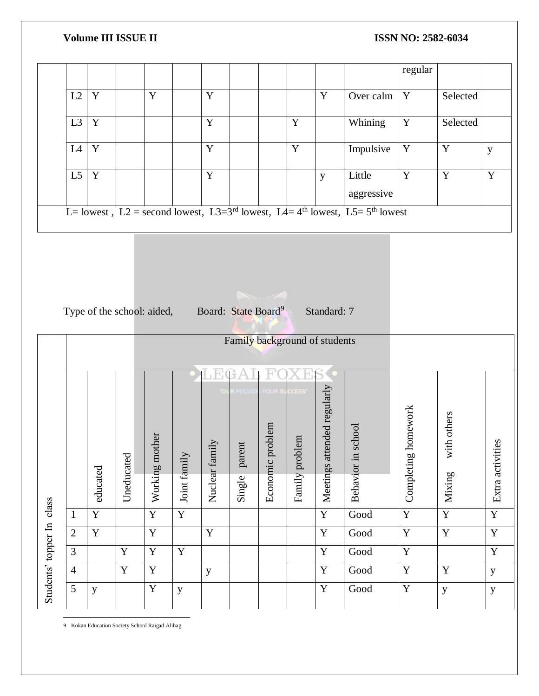|                                                                           |                               |                         |             |                |              |                |            |                |                |                             |                                                                                                        | regular                 |                |                |
|---------------------------------------------------------------------------|-------------------------------|-------------------------|-------------|----------------|--------------|----------------|------------|----------------|----------------|-----------------------------|--------------------------------------------------------------------------------------------------------|-------------------------|----------------|----------------|
|                                                                           | L2                            | $\overline{\mathbf{Y}}$ |             | $\overline{Y}$ |              | $\overline{Y}$ |            |                |                | $\overline{Y}$              | Over calm                                                                                              | Y                       | Selected       |                |
|                                                                           | L3                            | $\overline{\mathbf{Y}}$ |             |                |              | $\overline{Y}$ |            |                | $\mathbf Y$    |                             | Whining                                                                                                | $\overline{\mathbf{Y}}$ | Selected       |                |
|                                                                           | L4                            | $\overline{\mathbf{Y}}$ |             |                |              | $\overline{Y}$ |            |                | $\overline{Y}$ |                             | Impulsive                                                                                              | $\overline{\mathbf{Y}}$ | $\overline{Y}$ | y              |
|                                                                           | L5                            | $\overline{\mathbf{Y}}$ |             |                |              | $\overline{Y}$ |            |                |                | $\mathbf{y}$                | Little<br>aggressive                                                                                   | $\overline{Y}$          | $\overline{Y}$ | $\overline{Y}$ |
|                                                                           |                               |                         |             |                |              |                |            |                |                |                             | L= lowest, L2 = second lowest, L3=3 <sup>rd</sup> lowest, L4= 4 <sup>th</sup> lowest, L5= $5th$ lowest |                         |                |                |
|                                                                           |                               |                         |             |                |              |                |            |                |                |                             |                                                                                                        |                         |                |                |
|                                                                           |                               |                         |             |                |              |                |            |                |                |                             |                                                                                                        |                         |                |                |
|                                                                           |                               |                         |             |                |              |                |            |                |                |                             |                                                                                                        |                         |                |                |
|                                                                           |                               |                         |             |                |              |                |            |                |                |                             |                                                                                                        |                         |                |                |
| Type of the school: aided, Board: State Board <sup>9</sup><br>Standard: 7 |                               |                         |             |                |              |                |            |                |                |                             |                                                                                                        |                         |                |                |
|                                                                           |                               |                         |             |                |              |                |            |                |                |                             |                                                                                                        |                         |                |                |
|                                                                           | Family background of students |                         |             |                |              |                |            |                |                |                             |                                                                                                        |                         |                |                |
|                                                                           |                               |                         |             |                |              |                |            |                |                |                             |                                                                                                        |                         |                |                |
|                                                                           |                               |                         |             |                |              |                | MISSION    | <b>YOUR SI</b> | CCESS          |                             |                                                                                                        |                         |                |                |
|                                                                           |                               |                         |             |                |              |                |            |                |                | Meetings attended regularly |                                                                                                        |                         |                |                |
|                                                                           |                               |                         |             |                |              |                |            |                |                |                             |                                                                                                        | homework                |                |                |
|                                                                           |                               |                         |             | other          |              |                |            | problem        | blem           |                             | school                                                                                                 |                         | with others    |                |
|                                                                           |                               |                         |             |                |              | Nuclear family | ent<br>par |                |                |                             |                                                                                                        |                         |                | ties           |
|                                                                           |                               |                         |             |                |              |                |            |                |                |                             |                                                                                                        |                         |                |                |
|                                                                           |                               | educated                | Uneducated  | Working m      | Joint family |                | Single     | Economic       | Family pro     |                             | Behavior in                                                                                            | Completing              | Mixing         | Extra activi   |
|                                                                           | $\mathbf{1}$                  | $\overline{Y}$          |             | $\mathbf Y$    | $\mathbf Y$  |                |            |                |                | $\mathbf Y$                 | $\operatorname{Good}$                                                                                  | $\overline{\mathbf{Y}}$ | $\overline{Y}$ | Y              |
|                                                                           | $\overline{2}$                | $\overline{\textbf{Y}}$ |             | $\overline{Y}$ |              | $\overline{Y}$ |            |                |                | $\overline{Y}$              | $\operatorname{Good}$                                                                                  | $\overline{\mathbf{Y}}$ | $\overline{Y}$ | $\overline{Y}$ |
|                                                                           | $\overline{3}$                |                         | $\mathbf Y$ | $\mathbf Y$    | $\mathbf Y$  |                |            |                |                | $\mathbf Y$                 | $\operatorname{Good}$                                                                                  | $\mathbf Y$             |                | $\mathbf Y$    |
| Students' topper In class                                                 | $\overline{4}$                |                         | $\mathbf Y$ | $\overline{Y}$ |              | y              |            |                |                | $\mathbf Y$                 | Good                                                                                                   | $\overline{\mathbf{Y}}$ | $\mathbf Y$    | $\mathbf y$    |
|                                                                           | 5                             | $\mathbf y$             |             | $\mathbf Y$    | $\mathbf{y}$ |                |            |                |                | $\mathbf Y$                 | $\operatorname{Good}$                                                                                  | $\mathbf Y$             | $\mathbf y$    | $\mathbf{y}$   |
|                                                                           |                               |                         |             |                |              |                |            |                |                |                             |                                                                                                        |                         |                |                |

9 Kokan Education Society School Raigad Alibag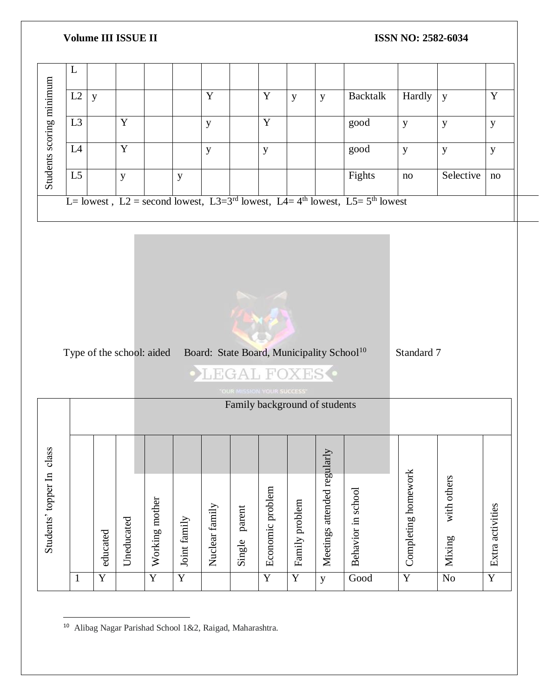



 $\overline{a}$ <sup>10</sup> Alibag Nagar Parishad School 1&2, Raigad, Maharashtra.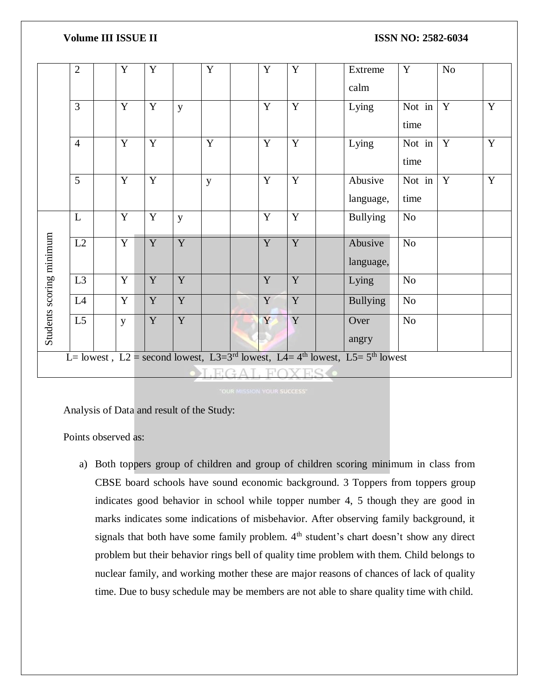|                          | $\overline{2}$                                                                               |  | Y              | Y |                | Y |  | $\mathbf Y$ | Y |  | Extreme         | $\mathbf Y$    | No          |   |
|--------------------------|----------------------------------------------------------------------------------------------|--|----------------|---|----------------|---|--|-------------|---|--|-----------------|----------------|-------------|---|
|                          |                                                                                              |  |                |   |                |   |  |             |   |  | calm            |                |             |   |
|                          | 3                                                                                            |  | Y              | Y | y              |   |  | Y           | Y |  | Lying           | Not in         | $\mathbf Y$ | Y |
|                          |                                                                                              |  |                |   |                |   |  |             |   |  |                 | time           |             |   |
|                          | $\overline{4}$                                                                               |  | Y              | Y |                | Y |  | Y           | Y |  | Lying           | Not in         | Y           | Y |
|                          |                                                                                              |  |                |   |                |   |  |             |   |  |                 | time           |             |   |
|                          | 5                                                                                            |  | Y              | Y |                | y |  | $\mathbf Y$ | Y |  | Abusive         | Not in         | Y           | Y |
|                          |                                                                                              |  |                |   |                |   |  |             |   |  | language,       | time           |             |   |
|                          | L                                                                                            |  | $\overline{Y}$ | Y | y              |   |  | $\mathbf Y$ | Y |  | <b>Bullying</b> | $\rm No$       |             |   |
|                          |                                                                                              |  |                |   |                |   |  |             |   |  |                 |                |             |   |
|                          | L2                                                                                           |  | $\mathbf Y$    | Y | Y              |   |  | Y           | Y |  | Abusive         | N <sub>o</sub> |             |   |
|                          |                                                                                              |  |                |   |                |   |  |             |   |  | language,       |                |             |   |
| Students scoring minimum | L3                                                                                           |  | Y              | Y | Y              |   |  | Y           | Y |  | Lying           | N <sub>o</sub> |             |   |
|                          | L4                                                                                           |  | Y              | Y | $\overline{Y}$ |   |  | Y           | Y |  | <b>Bullying</b> | $\rm No$       |             |   |
|                          | L <sub>5</sub>                                                                               |  | y              | Y | $\overline{Y}$ |   |  | Y           | Y |  | Over            | N <sub>o</sub> |             |   |
|                          |                                                                                              |  |                |   |                |   |  |             |   |  | angry           |                |             |   |
|                          | L= lowest, L2 = second lowest, L3=3 <sup>rd</sup> lowest, L4= $4th$ lowest, L5= $5th$ lowest |  |                |   |                |   |  |             |   |  |                 |                |             |   |
|                          | OI FOAT FOVES                                                                                |  |                |   |                |   |  |             |   |  |                 |                |             |   |

Analysis of Data and result of the Study:

Points observed as:

a) Both toppers group of children and group of children scoring minimum in class from CBSE board schools have sound economic background. 3 Toppers from toppers group indicates good behavior in school while topper number 4, 5 though they are good in marks indicates some indications of misbehavior. After observing family background, it signals that both have some family problem.  $4<sup>th</sup>$  student's chart doesn't show any direct problem but their behavior rings bell of quality time problem with them. Child belongs to nuclear family, and working mother these are major reasons of chances of lack of quality time. Due to busy schedule may be members are not able to share quality time with child.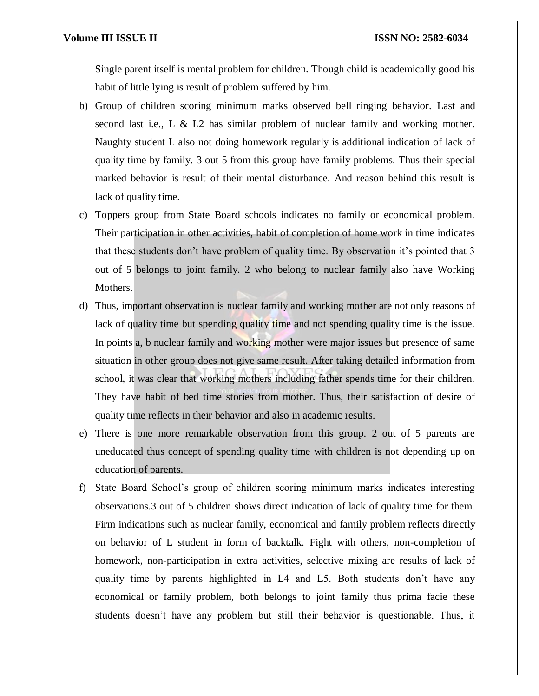Single parent itself is mental problem for children. Though child is academically good his habit of little lying is result of problem suffered by him.

- b) Group of children scoring minimum marks observed bell ringing behavior. Last and second last i.e., L & L2 has similar problem of nuclear family and working mother. Naughty student L also not doing homework regularly is additional indication of lack of quality time by family. 3 out 5 from this group have family problems. Thus their special marked behavior is result of their mental disturbance. And reason behind this result is lack of quality time.
- c) Toppers group from State Board schools indicates no family or economical problem. Their participation in other activities, habit of completion of home work in time indicates that these students don't have problem of quality time. By observation it's pointed that 3 out of 5 belongs to joint family. 2 who belong to nuclear family also have Working Mothers.
- d) Thus, important observation is nuclear family and working mother are not only reasons of lack of quality time but spending quality time and not spending quality time is the issue. In points a, b nuclear family and working mother were major issues but presence of same situation in other group does not give same result. After taking detailed information from school, it was clear that working mothers including father spends time for their children. They have habit of bed time stories from mother. Thus, their satisfaction of desire of quality time reflects in their behavior and also in academic results.
- e) There is one more remarkable observation from this group. 2 out of 5 parents are uneducated thus concept of spending quality time with children is not depending up on education of parents.
- f) State Board School's group of children scoring minimum marks indicates interesting observations.3 out of 5 children shows direct indication of lack of quality time for them. Firm indications such as nuclear family, economical and family problem reflects directly on behavior of L student in form of backtalk. Fight with others, non-completion of homework, non-participation in extra activities, selective mixing are results of lack of quality time by parents highlighted in L4 and L5. Both students don't have any economical or family problem, both belongs to joint family thus prima facie these students doesn't have any problem but still their behavior is questionable. Thus, it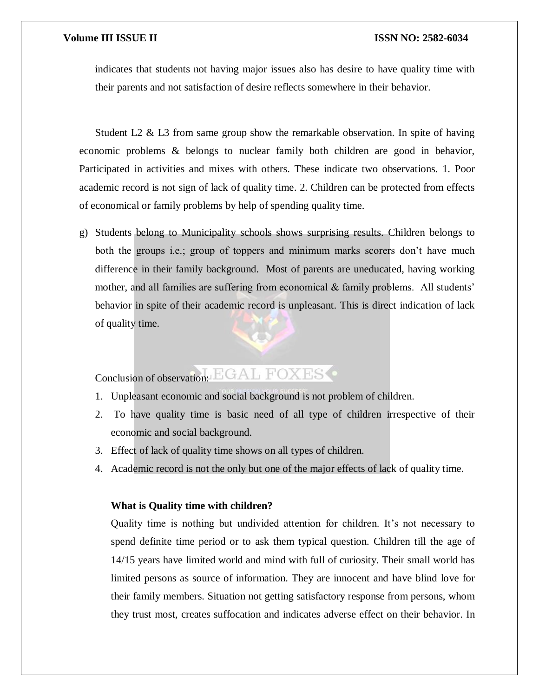indicates that students not having major issues also has desire to have quality time with their parents and not satisfaction of desire reflects somewhere in their behavior.

Student L2  $\&$  L3 from same group show the remarkable observation. In spite of having economic problems & belongs to nuclear family both children are good in behavior, Participated in activities and mixes with others. These indicate two observations. 1. Poor academic record is not sign of lack of quality time. 2. Children can be protected from effects of economical or family problems by help of spending quality time.

g) Students belong to Municipality schools shows surprising results. Children belongs to both the groups i.e.; group of toppers and minimum marks scorers don't have much difference in their family background. Most of parents are uneducated, having working mother, and all families are suffering from economical  $\&$  family problems. All students' behavior in spite of their academic record is unpleasant. This is direct indication of lack of quality time.

# Conclusion of observation: EGAL FOXES

- 1. Unpleasant economic and social background is not problem of children.
- 2. To have quality time is basic need of all type of children irrespective of their economic and social background.
- 3. Effect of lack of quality time shows on all types of children.
- 4. Academic record is not the only but one of the major effects of lack of quality time.

# **What is Quality time with children?**

Quality time is nothing but undivided attention for children. It's not necessary to spend definite time period or to ask them typical question. Children till the age of 14/15 years have limited world and mind with full of curiosity. Their small world has limited persons as source of information. They are innocent and have blind love for their family members. Situation not getting satisfactory response from persons, whom they trust most, creates suffocation and indicates adverse effect on their behavior. In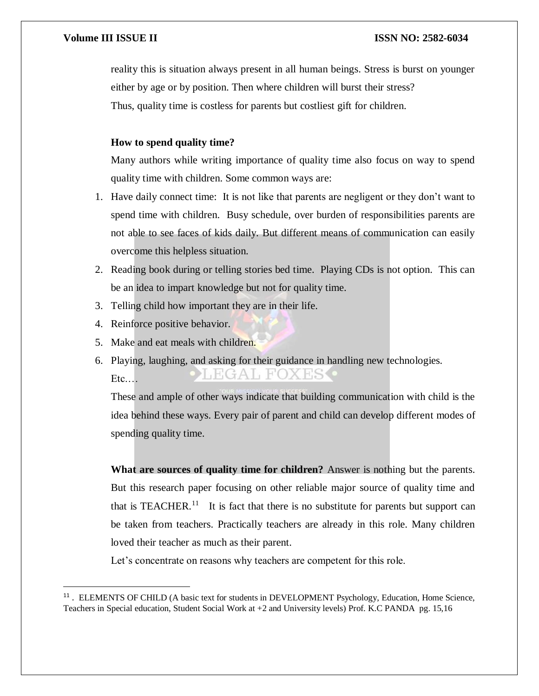reality this is situation always present in all human beings. Stress is burst on younger either by age or by position. Then where children will burst their stress? Thus, quality time is costless for parents but costliest gift for children.

# **How to spend quality time?**

Many authors while writing importance of quality time also focus on way to spend quality time with children. Some common ways are:

- 1. Have daily connect time: It is not like that parents are negligent or they don't want to spend time with children. Busy schedule, over burden of responsibilities parents are not able to see faces of kids daily. But different means of communication can easily overcome this helpless situation.
- 2. Reading book during or telling stories bed time. Playing CDs is not option. This can be an idea to impart knowledge but not for quality time.
- 3. Telling child how important they are in their life.
- 4. Reinforce positive behavior.

 $\overline{\phantom{a}}$ 

- 5. Make and eat meals with children.
- 6. Playing, laughing, and asking for their guidance in handling new technologies.  $H$ <sub>,</sub> $C$ IX ESS Etc.…

These and ample of other ways indicate that building communication with child is the idea behind these ways. Every pair of parent and child can develop different modes of spending quality time.

**What are sources of quality time for children?** Answer is nothing but the parents. But this research paper focusing on other reliable major source of quality time and that is TEACHER.<sup>11</sup> It is fact that there is no substitute for parents but support can be taken from teachers. Practically teachers are already in this role. Many children loved their teacher as much as their parent.

Let's concentrate on reasons why teachers are competent for this role.

<sup>&</sup>lt;sup>11</sup>. ELEMENTS OF CHILD (A basic text for students in DEVELOPMENT Psychology, Education, Home Science, Teachers in Special education, Student Social Work at +2 and University levels) Prof. K.C PANDA pg. 15,16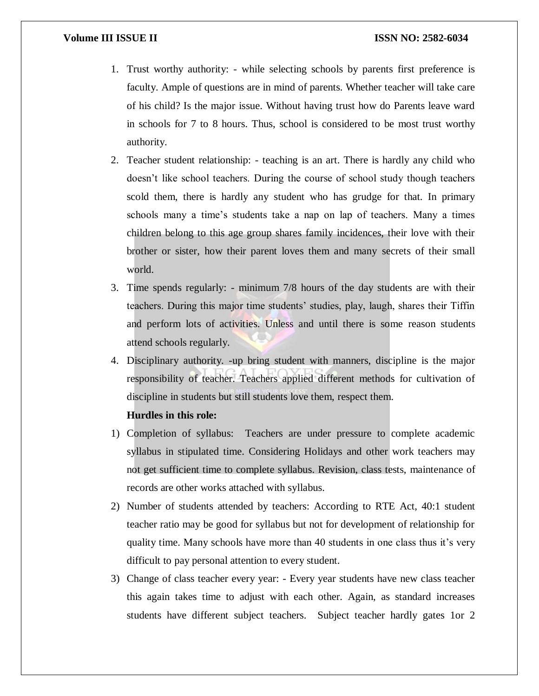- 1. Trust worthy authority: while selecting schools by parents first preference is faculty. Ample of questions are in mind of parents. Whether teacher will take care of his child? Is the major issue. Without having trust how do Parents leave ward in schools for 7 to 8 hours. Thus, school is considered to be most trust worthy authority.
- 2. Teacher student relationship: teaching is an art. There is hardly any child who doesn't like school teachers. During the course of school study though teachers scold them, there is hardly any student who has grudge for that. In primary schools many a time's students take a nap on lap of teachers. Many a times children belong to this age group shares family incidences, their love with their brother or sister, how their parent loves them and many secrets of their small world.
- 3. Time spends regularly: minimum 7/8 hours of the day students are with their teachers. During this major time students' studies, play, laugh, shares their Tiffin and perform lots of activities. Unless and until there is some reason students attend schools regularly.
- 4. Disciplinary authority. -up bring student with manners, discipline is the major responsibility of teacher. Teachers applied different methods for cultivation of discipline in students but still students love them, respect them.

# **Hurdles in this role:**

- 1) Completion of syllabus: Teachers are under pressure to complete academic syllabus in stipulated time. Considering Holidays and other work teachers may not get sufficient time to complete syllabus. Revision, class tests, maintenance of records are other works attached with syllabus.
- 2) Number of students attended by teachers: According to RTE Act, 40:1 student teacher ratio may be good for syllabus but not for development of relationship for quality time. Many schools have more than 40 students in one class thus it's very difficult to pay personal attention to every student.
- 3) Change of class teacher every year: Every year students have new class teacher this again takes time to adjust with each other. Again, as standard increases students have different subject teachers. Subject teacher hardly gates 1or 2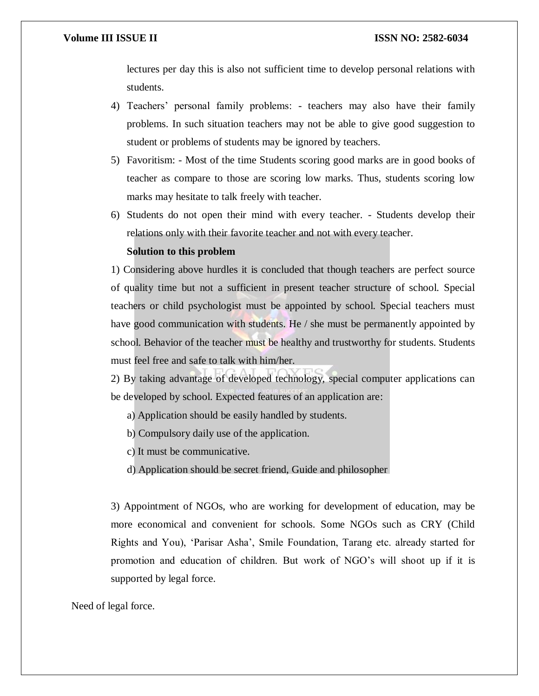lectures per day this is also not sufficient time to develop personal relations with students.

- 4) Teachers' personal family problems: teachers may also have their family problems. In such situation teachers may not be able to give good suggestion to student or problems of students may be ignored by teachers.
- 5) Favoritism: Most of the time Students scoring good marks are in good books of teacher as compare to those are scoring low marks. Thus, students scoring low marks may hesitate to talk freely with teacher.
- 6) Students do not open their mind with every teacher. Students develop their relations only with their favorite teacher and not with every teacher.

# **Solution to this problem**

1) Considering above hurdles it is concluded that though teachers are perfect source of quality time but not a sufficient in present teacher structure of school. Special teachers or child psychologist must be appointed by school. Special teachers must have good communication with students. He / she must be permanently appointed by school. Behavior of the teacher must be healthy and trustworthy for students. Students must feel free and safe to talk with him/her.

2) By taking advantage of developed technology, special computer applications can be developed by school. Expected features of an application are:

a) Application should be easily handled by students.

b) Compulsory daily use of the application.

c) It must be communicative.

d) Application should be secret friend, Guide and philosopher

3) Appointment of NGOs, who are working for development of education, may be more economical and convenient for schools. Some NGOs such as CRY (Child Rights and You), 'Parisar Asha', Smile Foundation, Tarang etc. already started for promotion and education of children. But work of NGO's will shoot up if it is supported by legal force.

### Need of legal force.